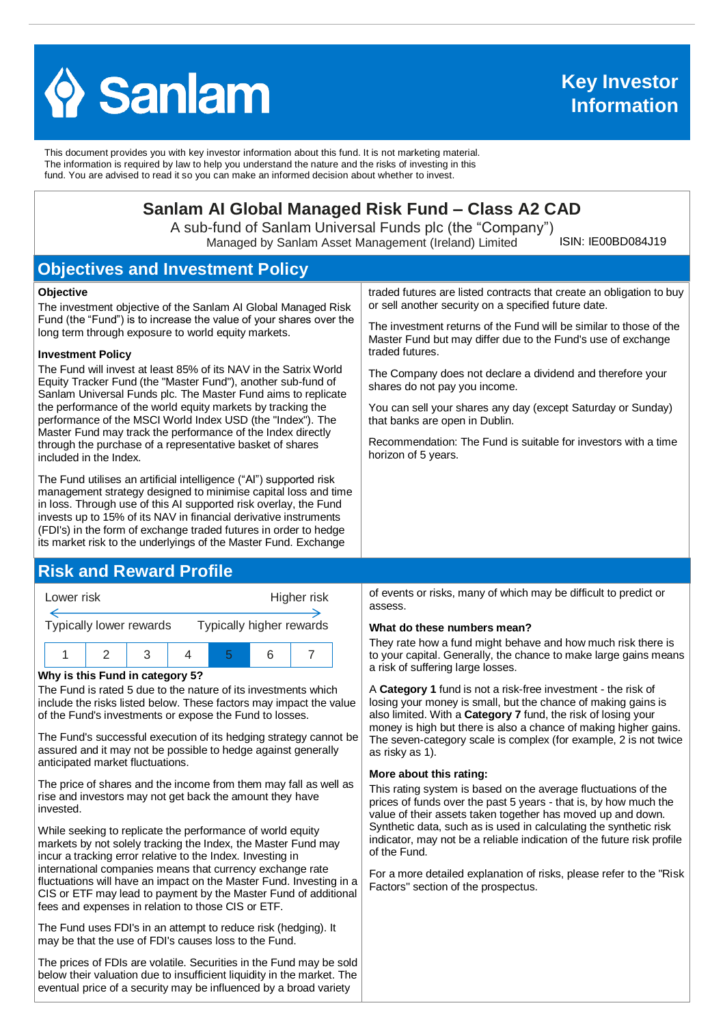

This document provides you with key investor information about this fund. It is not marketing material. The information is required by law to help you understand the nature and the risks of investing in this fund. You are advised to read it so you can make an informed decision about whether to invest.

# **Sanlam AI Global Managed Risk Fund – Class A2 CAD**

A sub-fund of Sanlam Universal Funds plc (the "Company") Managed by Sanlam Asset Management (Ireland) Limited

ISIN: IE00BD084J19

# **Objectives and Investment Policy**

#### **Objective**

The investment objective of the Sanlam AI Global Managed Risk Fund (the "Fund") is to increase the value of your shares over the long term through exposure to world equity markets.

#### **Investment Policy**

The Fund will invest at least 85% of its NAV in the Satrix World Equity Tracker Fund (the "Master Fund"), another sub-fund of Sanlam Universal Funds plc. The Master Fund aims to replicate the performance of the world equity markets by tracking the performance of the MSCI World Index USD (the "Index"). The Master Fund may track the performance of the Index directly through the purchase of a representative basket of shares included in the Index.

The Fund utilises an artificial intelligence ("AI") supported risk management strategy designed to minimise capital loss and time in loss. Through use of this AI supported risk overlay, the Fund invests up to 15% of its NAV in financial derivative instruments (FDI's) in the form of exchange traded futures in order to hedge its market risk to the underlyings of the Master Fund. Exchange

## **Risk and Reward Profile**



#### **Why is this Fund in category 5?**

The Fund is rated 5 due to the nature of its investments which include the risks listed below. These factors may impact the value of the Fund's investments or expose the Fund to losses.

The Fund's successful execution of its hedging strategy cannot be assured and it may not be possible to hedge against generally anticipated market fluctuations.

The price of shares and the income from them may fall as well as rise and investors may not get back the amount they have invested.

While seeking to replicate the performance of world equity markets by not solely tracking the Index, the Master Fund may incur a tracking error relative to the Index. Investing in international companies means that currency exchange rate fluctuations will have an impact on the Master Fund. Investing in a CIS or ETF may lead to payment by the Master Fund of additional fees and expenses in relation to those CIS or ETF.

The Fund uses FDI's in an attempt to reduce risk (hedging). It may be that the use of FDI's causes loss to the Fund.

The prices of FDIs are volatile. Securities in the Fund may be sold below their valuation due to insufficient liquidity in the market. The eventual price of a security may be influenced by a broad variety

traded futures are listed contracts that create an obligation to buy or sell another security on a specified future date.

The investment returns of the Fund will be similar to those of the Master Fund but may differ due to the Fund's use of exchange traded futures.

The Company does not declare a dividend and therefore your shares do not pay you income.

You can sell your shares any day (except Saturday or Sunday) that banks are open in Dublin.

Recommendation: The Fund is suitable for investors with a time horizon of 5 years.

of events or risks, many of which may be difficult to predict or assess.

#### **What do these numbers mean?**

They rate how a fund might behave and how much risk there is to your capital. Generally, the chance to make large gains means a risk of suffering large losses.

A **Category 1** fund is not a risk-free investment - the risk of losing your money is small, but the chance of making gains is also limited. With a **Category 7** fund, the risk of losing your money is high but there is also a chance of making higher gains. The seven-category scale is complex (for example, 2 is not twice as risky as 1).

#### **More about this rating:**

This rating system is based on the average fluctuations of the prices of funds over the past 5 years - that is, by how much the value of their assets taken together has moved up and down. Synthetic data, such as is used in calculating the synthetic risk indicator, may not be a reliable indication of the future risk profile of the Fund.

For a more detailed explanation of risks, please refer to the ''Risk Factors'' section of the prospectus.